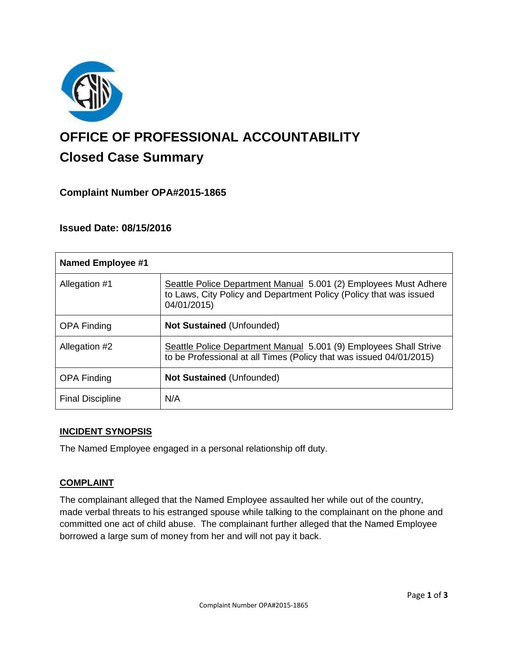

# **OFFICE OF PROFESSIONAL ACCOUNTABILITY Closed Case Summary**

# **Complaint Number OPA#2015-1865**

## **Issued Date: 08/15/2016**

| <b>Named Employee #1</b> |                                                                                                                                                       |
|--------------------------|-------------------------------------------------------------------------------------------------------------------------------------------------------|
| Allegation #1            | Seattle Police Department Manual 5.001 (2) Employees Must Adhere<br>to Laws, City Policy and Department Policy (Policy that was issued<br>04/01/2015) |
| <b>OPA Finding</b>       | <b>Not Sustained (Unfounded)</b>                                                                                                                      |
| Allegation #2            | Seattle Police Department Manual 5.001 (9) Employees Shall Strive<br>to be Professional at all Times (Policy that was issued 04/01/2015)              |
| <b>OPA Finding</b>       | <b>Not Sustained (Unfounded)</b>                                                                                                                      |
| <b>Final Discipline</b>  | N/A                                                                                                                                                   |

#### **INCIDENT SYNOPSIS**

The Named Employee engaged in a personal relationship off duty.

#### **COMPLAINT**

The complainant alleged that the Named Employee assaulted her while out of the country, made verbal threats to his estranged spouse while talking to the complainant on the phone and committed one act of child abuse. The complainant further alleged that the Named Employee borrowed a large sum of money from her and will not pay it back.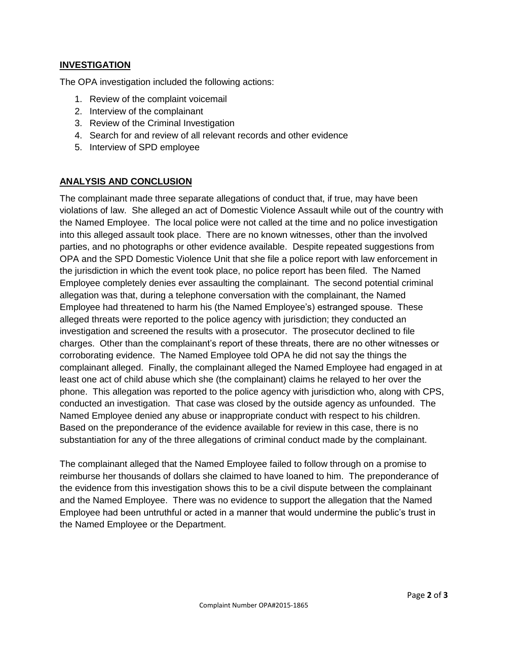## **INVESTIGATION**

The OPA investigation included the following actions:

- 1. Review of the complaint voicemail
- 2. Interview of the complainant
- 3. Review of the Criminal Investigation
- 4. Search for and review of all relevant records and other evidence
- 5. Interview of SPD employee

## **ANALYSIS AND CONCLUSION**

The complainant made three separate allegations of conduct that, if true, may have been violations of law. She alleged an act of Domestic Violence Assault while out of the country with the Named Employee. The local police were not called at the time and no police investigation into this alleged assault took place. There are no known witnesses, other than the involved parties, and no photographs or other evidence available. Despite repeated suggestions from OPA and the SPD Domestic Violence Unit that she file a police report with law enforcement in the jurisdiction in which the event took place, no police report has been filed. The Named Employee completely denies ever assaulting the complainant. The second potential criminal allegation was that, during a telephone conversation with the complainant, the Named Employee had threatened to harm his (the Named Employee's) estranged spouse. These alleged threats were reported to the police agency with jurisdiction; they conducted an investigation and screened the results with a prosecutor. The prosecutor declined to file charges. Other than the complainant's report of these threats, there are no other witnesses or corroborating evidence. The Named Employee told OPA he did not say the things the complainant alleged. Finally, the complainant alleged the Named Employee had engaged in at least one act of child abuse which she (the complainant) claims he relayed to her over the phone. This allegation was reported to the police agency with jurisdiction who, along with CPS, conducted an investigation. That case was closed by the outside agency as unfounded. The Named Employee denied any abuse or inappropriate conduct with respect to his children. Based on the preponderance of the evidence available for review in this case, there is no substantiation for any of the three allegations of criminal conduct made by the complainant.

The complainant alleged that the Named Employee failed to follow through on a promise to reimburse her thousands of dollars she claimed to have loaned to him. The preponderance of the evidence from this investigation shows this to be a civil dispute between the complainant and the Named Employee. There was no evidence to support the allegation that the Named Employee had been untruthful or acted in a manner that would undermine the public's trust in the Named Employee or the Department.